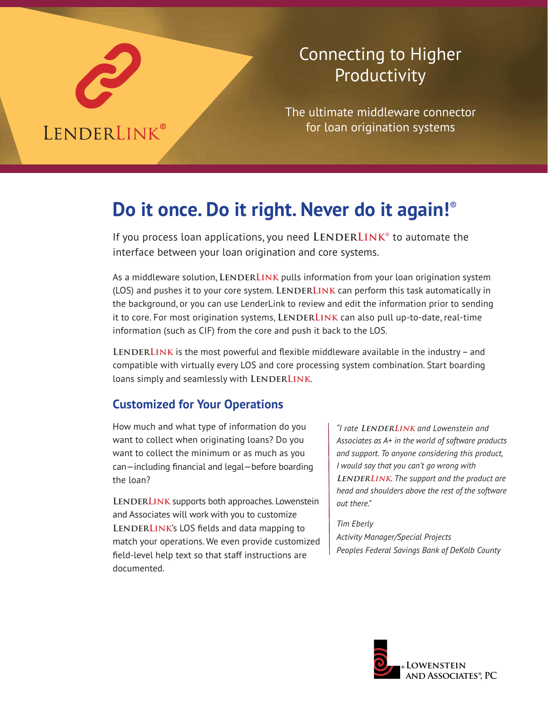

## Connecting to Higher Productivity

The ultimate middleware connector for loan origination systems

# **Do it once. Do it right. Never do it again!**®

If you process loan applications, you need LENDERLINK<sup>®</sup> to automate the interface between your loan origination and core systems.

As a middleware solution, LENDERLINK pulls information from your loan origination system (LOS) and pushes it to your core system. LENDERLINK can perform this task automatically in the background, or you can use LenderLink to review and edit the information prior to sending it to core. For most origination systems, LENDERLINK can also pull up-to-date, real-time information (such as CIF) from the core and push it back to the LOS.

LENDERLINK is the most powerful and flexible middleware available in the industry – and compatible with virtually every LOS and core processing system combination. Start boarding loans simply and seamlessly with LENDERLINK.

### **Customized for Your Operations**

How much and what type of information do you want to collect when originating loans? Do you want to collect the minimum or as much as you can—including financial and legal—before boarding the loan?

LENDERLINK supports both approaches. Lowenstein and Associates will work with you to customize LENDERLINK's LOS fields and data mapping to match your operations. We even provide customized field-level help text so that staff instructions are documented.

*"I rate* **LenderLink** *and Lowenstein and Associates as A+ in the world of software products and support. To anyone considering this product, I would say that you can't go wrong with* **LENDERLINK***. The support and the product are head and shoulders above the rest of the software out there."*

*Tim Eberly Activity Manager/Special Projects Peoples Federal Savings Bank of DeKalb County*